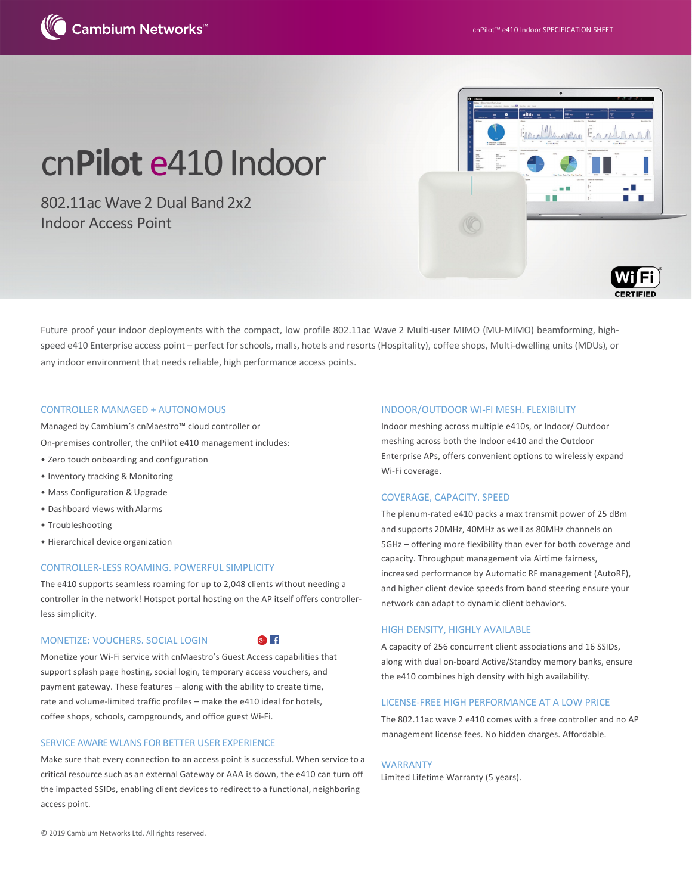

# cn**Pilot** e410 Indoor

802.11ac Wave 2 Dual Band 2x2 Indoor Access Point



Future proof your indoor deployments with the compact, low profile 802.11ac Wave 2 Multi-user MIMO (MU-MIMO) beamforming, highspeed e410 Enterprise access point – perfect for schools, malls, hotels and resorts (Hospitality), coffee shops, Multi-dwelling units (MDUs), or any indoor environment that needs reliable, high performance access points.

#### CONTROLLER MANAGED + AUTONOMOUS

Managed by Cambium's cnMaestro™ cloud controller or On-premises controller, the cnPilot e410 management includes:

- Zero touch onboarding and configuration
- Inventory tracking & Monitoring
- Mass Configuration & Upgrade
- Dashboard views with Alarms
- Troubleshooting
- Hierarchical device organization

#### CONTROLLER-LESS ROAMING. POWERFUL SIMPLICITY

The e410 supports seamless roaming for up to 2,048 clients without needing a controller in the network! Hotspot portal hosting on the AP itself offers controllerless simplicity.

#### MONETIZE: VOUCHERS. SOCIAL LOGIN

 $8+$   $+$ 

Monetize your Wi-Fi service with cnMaestro's Guest Access capabilities that support splash page hosting, social login, temporary access vouchers, and payment gateway. These features – along with the ability to create time, rate and volume-limited traffic profiles – make the e410 ideal for hotels, coffee shops, schools, campgrounds, and office guest Wi-Fi.

#### SERVICE AWARE WLANS FOR BETTER USER EXPERIENCE

Make sure that every connection to an access point is successful. When service to a critical resource such as an external Gateway or AAA is down, the e410 can turn off the impacted SSIDs, enabling client devices to redirect to a functional, neighboring access point.

#### INDOOR/OUTDOOR WI-FI MESH. FLEXIBILITY

Indoor meshing across multiple e410s, or Indoor/ Outdoor meshing across both the Indoor e410 and the Outdoor Enterprise APs, offers convenient options to wirelessly expand Wi-Fi coverage.

### COVERAGE, CAPACITY. SPEED

The plenum-rated e410 packs a max transmit power of 25 dBm and supports 20MHz, 40MHz as well as 80MHz channels on 5GHz – offering more flexibility than ever for both coverage and capacity. Throughput management via Airtime fairness, increased performance by Automatic RF management (AutoRF), and higher client device speeds from band steering ensure your network can adapt to dynamic client behaviors.

#### HIGH DENSITY, HIGHLY AVAILABLE

A capacity of 256 concurrent client associations and 16 SSIDs, along with dual on-board Active/Standby memory banks, ensure the e410 combines high density with high availability.

#### LICENSE-FREE HIGH PERFORMANCE AT A LOW PRICE

The 802.11ac wave 2 e410 comes with a free controller and no AP management license fees. No hidden charges. Affordable.

#### WARRANTY

Limited Lifetime Warranty (5 years).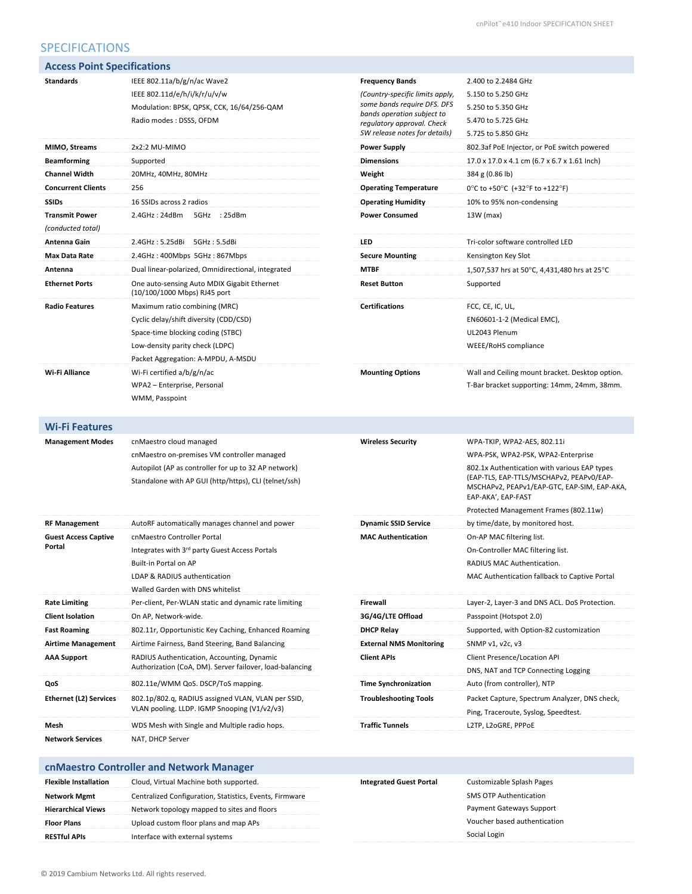# SPECIFICATIONS

| <b>Access Point Specifications</b>               |                                                                                                                                                                            |                                                                                                                                                                                       |                                                                                                                                                               |
|--------------------------------------------------|----------------------------------------------------------------------------------------------------------------------------------------------------------------------------|---------------------------------------------------------------------------------------------------------------------------------------------------------------------------------------|---------------------------------------------------------------------------------------------------------------------------------------------------------------|
| <b>Standards</b>                                 | IEEE 802.11a/b/g/n/ac Wave2<br>IEEE 802.11d/e/h/i/k/r/u/v/w<br>Modulation: BPSK, QPSK, CCK, 16/64/256-QAM<br>Radio modes: DSSS, OFDM                                       | <b>Frequency Bands</b><br>(Country-specific limits apply,<br>some bands require DFS. DFS<br>bands operation subject to<br>regulatory approval. Check<br>SW release notes for details) | 2.400 to 2.2484 GHz<br>5.150 to 5.250 GHz<br>5.250 to 5.350 GHz<br>5.470 to 5.725 GHz<br>5.725 to 5.850 GHz                                                   |
| MIMO, Streams                                    | 2x2:2 MU-MIMO                                                                                                                                                              | <b>Power Supply</b>                                                                                                                                                                   | 802.3af PoE Injector, or PoE switch powered                                                                                                                   |
| <b>Beamforming</b>                               | Supported                                                                                                                                                                  | <b>Dimensions</b>                                                                                                                                                                     | 17.0 x 17.0 x 4.1 cm (6.7 x 6.7 x 1.61 lnch)                                                                                                                  |
| <b>Channel Width</b>                             | 20MHz, 40MHz, 80MHz                                                                                                                                                        | Weight                                                                                                                                                                                | 384 g (0.86 lb)                                                                                                                                               |
| <b>Concurrent Clients</b>                        | 256                                                                                                                                                                        | <b>Operating Temperature</b>                                                                                                                                                          | 0°C to +50°C (+32°F to +122°F)                                                                                                                                |
| <b>SSIDs</b>                                     | 16 SSIDs across 2 radios                                                                                                                                                   | <b>Operating Humidity</b>                                                                                                                                                             | 10% to 95% non-condensing                                                                                                                                     |
| <b>Transmit Power</b>                            | 2.4GHz: 24dBm<br>5GHz : 25dBm                                                                                                                                              | <b>Power Consumed</b>                                                                                                                                                                 | 13W (max)                                                                                                                                                     |
| (conducted total)                                |                                                                                                                                                                            |                                                                                                                                                                                       |                                                                                                                                                               |
| Antenna Gain                                     | 2.4GHz: 5.25dBi 5GHz: 5.5dBi                                                                                                                                               | LED                                                                                                                                                                                   | Tri-color software controlled LED                                                                                                                             |
| Max Data Rate                                    | 2.4GHz: 400Mbps 5GHz: 867Mbps                                                                                                                                              | <b>Secure Mounting</b>                                                                                                                                                                | Kensington Key Slot                                                                                                                                           |
| Antenna                                          | Dual linear-polarized, Omnidirectional, integrated                                                                                                                         | <b>MTBF</b>                                                                                                                                                                           | 1,507,537 hrs at 50°C, 4,431,480 hrs at 25°C                                                                                                                  |
| <b>Ethernet Ports</b>                            | One auto-sensing Auto MDIX Gigabit Ethernet<br>(10/100/1000 Mbps) RJ45 port                                                                                                | <b>Reset Button</b>                                                                                                                                                                   | Supported                                                                                                                                                     |
| <b>Radio Features</b>                            | Maximum ratio combining (MRC)                                                                                                                                              | <b>Certifications</b>                                                                                                                                                                 | FCC, CE, IC, UL,                                                                                                                                              |
|                                                  | Cyclic delay/shift diversity (CDD/CSD)                                                                                                                                     |                                                                                                                                                                                       | EN60601-1-2 (Medical EMC),                                                                                                                                    |
|                                                  | Space-time blocking coding (STBC)                                                                                                                                          |                                                                                                                                                                                       | UL2043 Plenum                                                                                                                                                 |
|                                                  | Low-density parity check (LDPC)<br>Packet Aggregation: A-MPDU, A-MSDU                                                                                                      |                                                                                                                                                                                       | WEEE/RoHS compliance                                                                                                                                          |
| Wi-Fi Alliance                                   | Wi-Fi certified a/b/g/n/ac<br>WPA2 - Enterprise, Personal<br>WMM, Passpoint                                                                                                | <b>Mounting Options</b>                                                                                                                                                               | Wall and Ceiling mount bracket. Desktop option.<br>T-Bar bracket supporting: 14mm, 24mm, 38mm.                                                                |
| <b>Wi-Fi Features</b><br><b>Management Modes</b> | cnMaestro cloud managed                                                                                                                                                    | <b>Wireless Security</b>                                                                                                                                                              | WPA-TKIP, WPA2-AES, 802.11i                                                                                                                                   |
|                                                  | cnMaestro on-premises VM controller managed                                                                                                                                |                                                                                                                                                                                       | WPA-PSK, WPA2-PSK, WPA2-Enterprise                                                                                                                            |
|                                                  | Autopilot (AP as controller for up to 32 AP network)<br>Standalone with AP GUI (http/https), CLI (telnet/ssh)                                                              |                                                                                                                                                                                       | 802.1x Authentication with various EAP types<br>(EAP-TLS, EAP-TTLS/MSCHAPv2, PEAPv0/EAP-<br>MSCHAPv2, PEAPv1/EAP-GTC, EAP-SIM, EAP-AKA,<br>EAP-AKA', EAP-FAST |
|                                                  |                                                                                                                                                                            |                                                                                                                                                                                       | Protected Management Frames (802.11w)                                                                                                                         |
| <b>RF Management</b>                             | AutoRF automatically manages channel and power                                                                                                                             | <b>Dynamic SSID Service</b>                                                                                                                                                           | by time/date, by monitored host.                                                                                                                              |
| <b>Guest Access Captive</b><br>Portal            | cnMaestro Controller Portal<br>Integrates with 3rd party Guest Access Portals<br>Built-in Portal on AP<br>LDAP & RADIUS authentication<br>Walled Garden with DNS whitelist | <b>MAC Authentication</b>                                                                                                                                                             | On-AP MAC filtering list.<br>On-Controller MAC filtering list.<br>RADIUS MAC Authentication.<br>MAC Authentication fallback to Captive Portal                 |
| <b>Rate Limiting</b>                             | Per-client, Per-WLAN static and dynamic rate limiting                                                                                                                      | Firewall                                                                                                                                                                              | Layer-2, Layer-3 and DNS ACL. DoS Protection.                                                                                                                 |
| <b>Client Isolation</b>                          | On AP, Network-wide.                                                                                                                                                       | 3G/4G/LTE Offload                                                                                                                                                                     | Passpoint (Hotspot 2.0)                                                                                                                                       |
| <b>Fast Roaming</b>                              | 802.11r, Opportunistic Key Caching, Enhanced Roaming                                                                                                                       | <b>DHCP Relay</b>                                                                                                                                                                     | Supported, with Option-82 customization                                                                                                                       |
| <b>Airtime Management</b>                        | Airtime Fairness, Band Steering, Band Balancing                                                                                                                            | <b>External NMS Monitoring</b>                                                                                                                                                        | SNMP v1, v2c, v3                                                                                                                                              |
| <b>AAA Support</b>                               | RADIUS Authentication, Accounting, Dynamic<br>Authorization (CoA, DM). Server failover, load-balancing                                                                     | <b>Client APIs</b>                                                                                                                                                                    | Client Presence/Location API<br>DNS, NAT and TCP Connecting Logging                                                                                           |
| QoS                                              | 802.11e/WMM QoS. DSCP/ToS mapping.                                                                                                                                         | <b>Time Synchronization</b>                                                                                                                                                           | Auto (from controller), NTP                                                                                                                                   |
| <b>Ethernet (L2) Services</b>                    | 802.1p/802.q, RADIUS assigned VLAN, VLAN per SSID,<br>VLAN pooling. LLDP. IGMP Snooping (V1/v2/v3)                                                                         | <b>Troubleshooting Tools</b>                                                                                                                                                          | Packet Capture, Spectrum Analyzer, DNS check,<br>Ping, Traceroute, Syslog, Speedtest.                                                                         |
| Mesh                                             | WDS Mesh with Single and Multiple radio hops.                                                                                                                              | <b>Traffic Tunnels</b>                                                                                                                                                                | L2TP, L2oGRE, PPPoE                                                                                                                                           |
| <b>Network Services</b>                          | NAT, DHCP Server                                                                                                                                                           |                                                                                                                                                                                       |                                                                                                                                                               |
|                                                  | cnMaestro Controller and Network Manager                                                                                                                                   |                                                                                                                                                                                       |                                                                                                                                                               |
| <b>Flexible Installation</b>                     | Cloud, Virtual Machine both supported.                                                                                                                                     | <b>Integrated Guest Portal</b>                                                                                                                                                        | Customizable Splash Pages                                                                                                                                     |
| <b>Network Mgmt</b>                              | Centralized Configuration, Statistics, Events, Firmware                                                                                                                    |                                                                                                                                                                                       | SMS OTP Authentication                                                                                                                                        |
| <b>Hierarchical Views</b>                        | Network topology mapped to sites and floors                                                                                                                                |                                                                                                                                                                                       | Payment Gateways Support                                                                                                                                      |
| <b>Floor Plans</b>                               | Upload custom floor plans and map APs                                                                                                                                      |                                                                                                                                                                                       | Voucher based authentication                                                                                                                                  |
| <b>RESTful APIs</b>                              | Interface with external systems                                                                                                                                            |                                                                                                                                                                                       | Social Login                                                                                                                                                  |